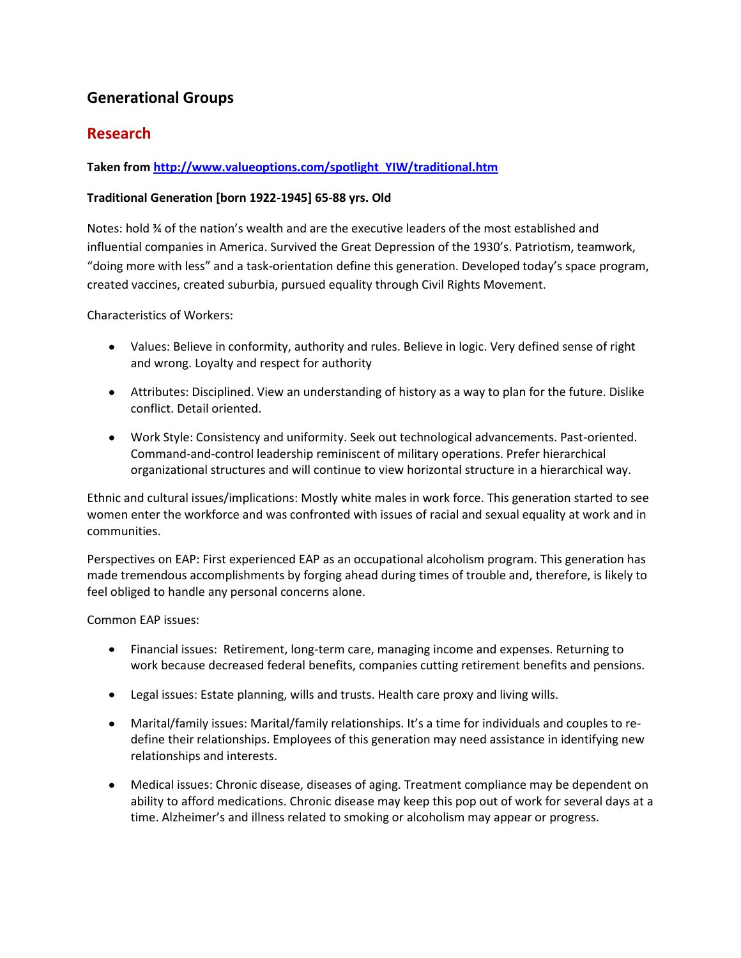# **Generational Groups**

# **Research**

### **Taken from [http://www.valueoptions.com/spotlight\\_YIW/traditional.htm](http://www.valueoptions.com/spotlight_YIW/traditional.htm)**

### **Traditional Generation [born 1922-1945] 65-88 yrs. Old**

Notes: hold ¾ of the nation's wealth and are the executive leaders of the most established and influential companies in America. Survived the Great Depression of the 1930's. Patriotism, teamwork, "doing more with less" and a task-orientation define this generation. Developed today's space program, created vaccines, created suburbia, pursued equality through Civil Rights Movement.

Characteristics of Workers:

- Values: Believe in conformity, authority and rules. Believe in logic. Very defined sense of right and wrong. Loyalty and respect for authority
- Attributes: Disciplined. View an understanding of history as a way to plan for the future. Dislike conflict. Detail oriented.
- Work Style: Consistency and uniformity. Seek out technological advancements. Past-oriented. Command-and-control leadership reminiscent of military operations. Prefer hierarchical organizational structures and will continue to view horizontal structure in a hierarchical way.

Ethnic and cultural issues/implications: Mostly white males in work force. This generation started to see women enter the workforce and was confronted with issues of racial and sexual equality at work and in communities.

Perspectives on EAP: First experienced EAP as an occupational alcoholism program. This generation has made tremendous accomplishments by forging ahead during times of trouble and, therefore, is likely to feel obliged to handle any personal concerns alone.

#### Common EAP issues:

- Financial issues: Retirement, long-term care, managing income and expenses. Returning to work because decreased federal benefits, companies cutting retirement benefits and pensions.
- Legal issues: Estate planning, wills and trusts. Health care proxy and living wills.
- Marital/family issues: Marital/family relationships. It's a time for individuals and couples to redefine their relationships. Employees of this generation may need assistance in identifying new relationships and interests.
- Medical issues: Chronic disease, diseases of aging. Treatment compliance may be dependent on ability to afford medications. Chronic disease may keep this pop out of work for several days at a time. Alzheimer's and illness related to smoking or alcoholism may appear or progress.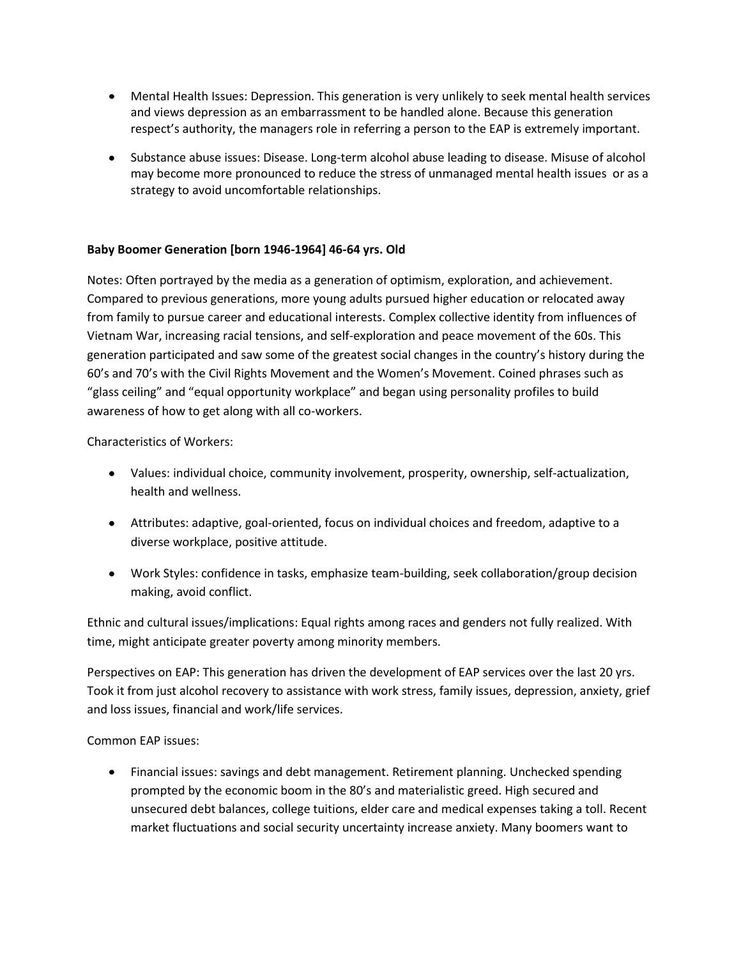- Mental Health Issues: Depression. This generation is very unlikely to seek mental health services and views depression as an embarrassment to be handled alone. Because this generation respect's authority, the managers role in referring a person to the EAP is extremely important.
- Substance abuse issues: Disease. Long-term alcohol abuse leading to disease. Misuse of alcohol may become more pronounced to reduce the stress of unmanaged mental health issues or as a strategy to avoid uncomfortable relationships.

#### **Baby Boomer Generation [born 1946-1964] 46-64 yrs. Old**

Notes: Often portrayed by the media as a generation of optimism, exploration, and achievement. Compared to previous generations, more young adults pursued higher education or relocated away from family to pursue career and educational interests. Complex collective identity from influences of Vietnam War, increasing racial tensions, and self-exploration and peace movement of the 60s. This generation participated and saw some of the greatest social changes in the country's history during the 60's and 70's with the Civil Rights Movement and the Women's Movement. Coined phrases such as "glass ceiling" and "equal opportunity workplace" and began using personality profiles to build awareness of how to get along with all co-workers.

Characteristics of Workers:

- Values: individual choice, community involvement, prosperity, ownership, self-actualization, health and wellness.
- Attributes: adaptive, goal-oriented, focus on individual choices and freedom, adaptive to a diverse workplace, positive attitude.
- Work Styles: confidence in tasks, emphasize team-building, seek collaboration/group decision making, avoid conflict.

Ethnic and cultural issues/implications: Equal rights among races and genders not fully realized. With time, might anticipate greater poverty among minority members.

Perspectives on EAP: This generation has driven the development of EAP services over the last 20 yrs. Took it from just alcohol recovery to assistance with work stress, family issues, depression, anxiety, grief and loss issues, financial and work/life services.

Common EAP issues:

Financial issues: savings and debt management. Retirement planning. Unchecked spending prompted by the economic boom in the 80's and materialistic greed. High secured and unsecured debt balances, college tuitions, elder care and medical expenses taking a toll. Recent market fluctuations and social security uncertainty increase anxiety. Many boomers want to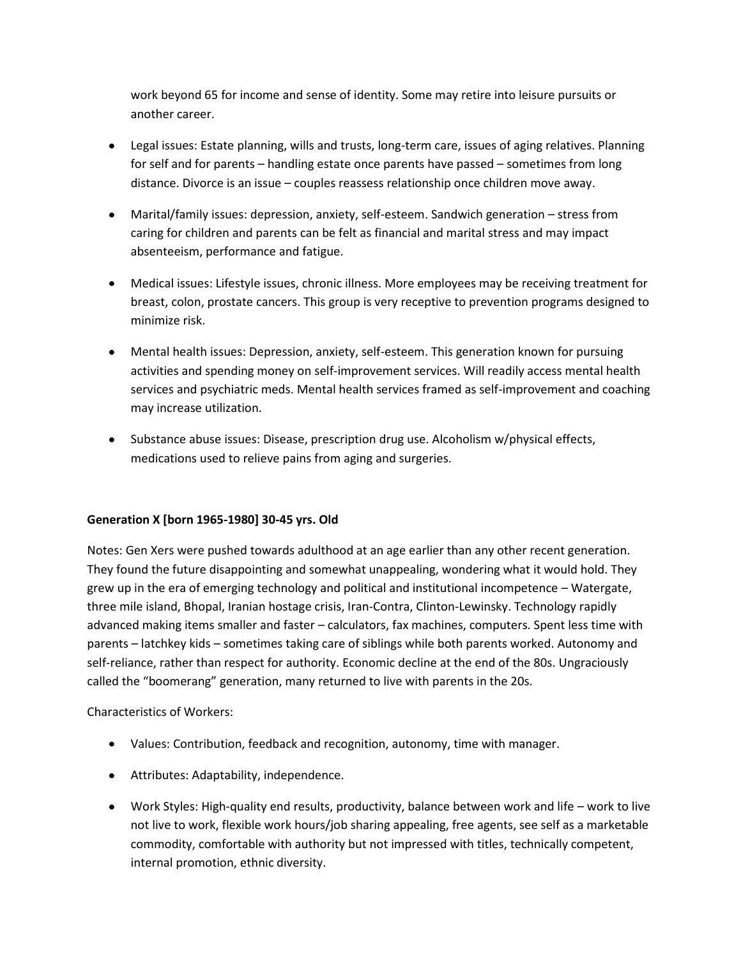work beyond 65 for income and sense of identity. Some may retire into leisure pursuits or another career.

- Legal issues: Estate planning, wills and trusts, long-term care, issues of aging relatives. Planning for self and for parents – handling estate once parents have passed – sometimes from long distance. Divorce is an issue – couples reassess relationship once children move away.
- Marital/family issues: depression, anxiety, self-esteem. Sandwich generation stress from caring for children and parents can be felt as financial and marital stress and may impact absenteeism, performance and fatigue.
- Medical issues: Lifestyle issues, chronic illness. More employees may be receiving treatment for breast, colon, prostate cancers. This group is very receptive to prevention programs designed to minimize risk.
- Mental health issues: Depression, anxiety, self-esteem. This generation known for pursuing activities and spending money on self-improvement services. Will readily access mental health services and psychiatric meds. Mental health services framed as self-improvement and coaching may increase utilization.
- Substance abuse issues: Disease, prescription drug use. Alcoholism w/physical effects, medications used to relieve pains from aging and surgeries.

### **Generation X [born 1965-1980] 30-45 yrs. Old**

Notes: Gen Xers were pushed towards adulthood at an age earlier than any other recent generation. They found the future disappointing and somewhat unappealing, wondering what it would hold. They grew up in the era of emerging technology and political and institutional incompetence – Watergate, three mile island, Bhopal, Iranian hostage crisis, Iran-Contra, Clinton-Lewinsky. Technology rapidly advanced making items smaller and faster – calculators, fax machines, computers. Spent less time with parents – latchkey kids – sometimes taking care of siblings while both parents worked. Autonomy and self-reliance, rather than respect for authority. Economic decline at the end of the 80s. Ungraciously called the "boomerang" generation, many returned to live with parents in the 20s.

Characteristics of Workers:

- Values: Contribution, feedback and recognition, autonomy, time with manager.
- Attributes: Adaptability, independence.
- Work Styles: High-quality end results, productivity, balance between work and life work to live not live to work, flexible work hours/job sharing appealing, free agents, see self as a marketable commodity, comfortable with authority but not impressed with titles, technically competent, internal promotion, ethnic diversity.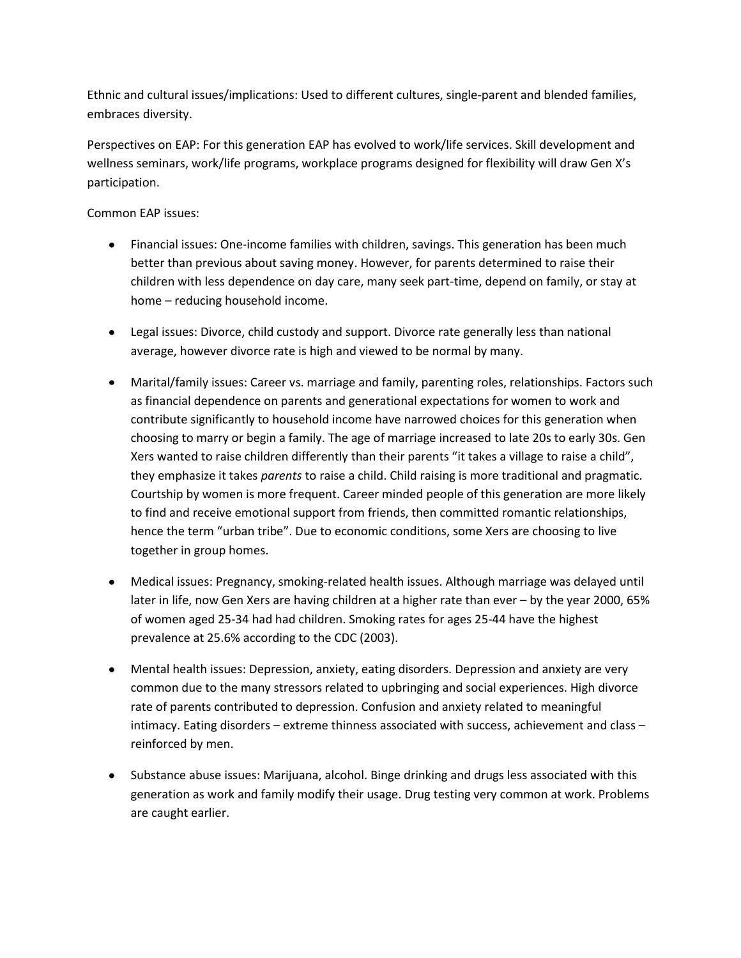Ethnic and cultural issues/implications: Used to different cultures, single-parent and blended families, embraces diversity.

Perspectives on EAP: For this generation EAP has evolved to work/life services. Skill development and wellness seminars, work/life programs, workplace programs designed for flexibility will draw Gen X's participation.

Common EAP issues:

- Financial issues: One-income families with children, savings. This generation has been much better than previous about saving money. However, for parents determined to raise their children with less dependence on day care, many seek part-time, depend on family, or stay at home – reducing household income.
- Legal issues: Divorce, child custody and support. Divorce rate generally less than national average, however divorce rate is high and viewed to be normal by many.
- Marital/family issues: Career vs. marriage and family, parenting roles, relationships. Factors such as financial dependence on parents and generational expectations for women to work and contribute significantly to household income have narrowed choices for this generation when choosing to marry or begin a family. The age of marriage increased to late 20s to early 30s. Gen Xers wanted to raise children differently than their parents "it takes a village to raise a child", they emphasize it takes *parents* to raise a child. Child raising is more traditional and pragmatic. Courtship by women is more frequent. Career minded people of this generation are more likely to find and receive emotional support from friends, then committed romantic relationships, hence the term "urban tribe". Due to economic conditions, some Xers are choosing to live together in group homes.
- Medical issues: Pregnancy, smoking-related health issues. Although marriage was delayed until later in life, now Gen Xers are having children at a higher rate than ever – by the year 2000, 65% of women aged 25-34 had had children. Smoking rates for ages 25-44 have the highest prevalence at 25.6% according to the CDC (2003).
- Mental health issues: Depression, anxiety, eating disorders. Depression and anxiety are very common due to the many stressors related to upbringing and social experiences. High divorce rate of parents contributed to depression. Confusion and anxiety related to meaningful intimacy. Eating disorders – extreme thinness associated with success, achievement and class – reinforced by men.
- Substance abuse issues: Marijuana, alcohol. Binge drinking and drugs less associated with this generation as work and family modify their usage. Drug testing very common at work. Problems are caught earlier.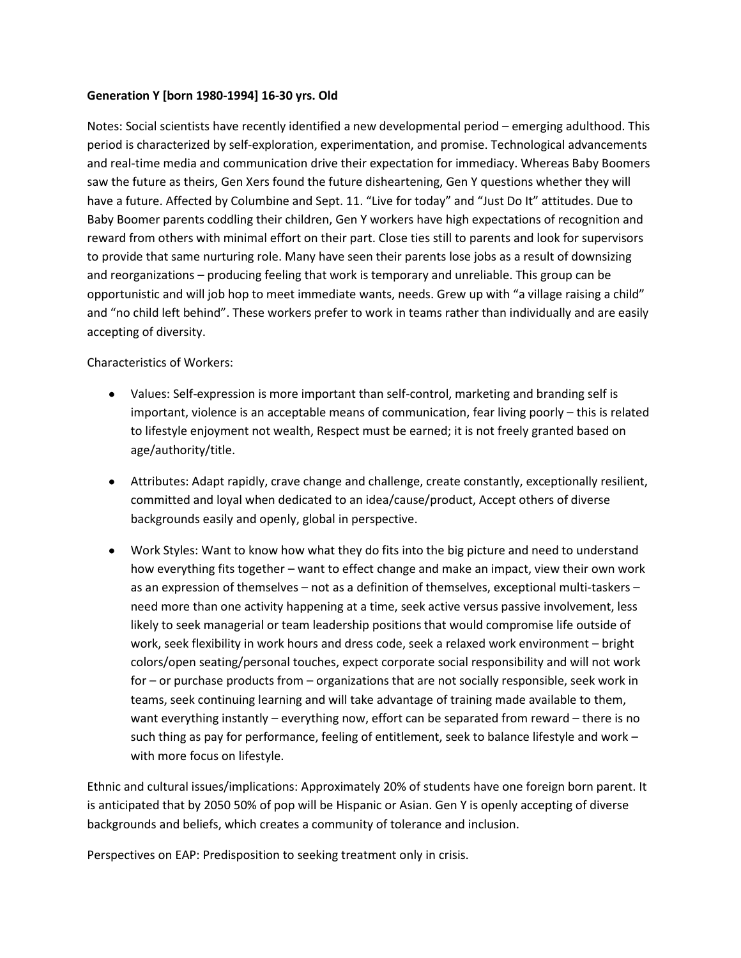#### **Generation Y [born 1980-1994] 16-30 yrs. Old**

Notes: Social scientists have recently identified a new developmental period – emerging adulthood. This period is characterized by self-exploration, experimentation, and promise. Technological advancements and real-time media and communication drive their expectation for immediacy. Whereas Baby Boomers saw the future as theirs, Gen Xers found the future disheartening, Gen Y questions whether they will have a future. Affected by Columbine and Sept. 11. "Live for today" and "Just Do It" attitudes. Due to Baby Boomer parents coddling their children, Gen Y workers have high expectations of recognition and reward from others with minimal effort on their part. Close ties still to parents and look for supervisors to provide that same nurturing role. Many have seen their parents lose jobs as a result of downsizing and reorganizations – producing feeling that work is temporary and unreliable. This group can be opportunistic and will job hop to meet immediate wants, needs. Grew up with "a village raising a child" and "no child left behind". These workers prefer to work in teams rather than individually and are easily accepting of diversity.

Characteristics of Workers:

- Values: Self-expression is more important than self-control, marketing and branding self is important, violence is an acceptable means of communication, fear living poorly – this is related to lifestyle enjoyment not wealth, Respect must be earned; it is not freely granted based on age/authority/title.
- Attributes: Adapt rapidly, crave change and challenge, create constantly, exceptionally resilient, committed and loyal when dedicated to an idea/cause/product, Accept others of diverse backgrounds easily and openly, global in perspective.
- Work Styles: Want to know how what they do fits into the big picture and need to understand how everything fits together – want to effect change and make an impact, view their own work as an expression of themselves – not as a definition of themselves, exceptional multi-taskers – need more than one activity happening at a time, seek active versus passive involvement, less likely to seek managerial or team leadership positions that would compromise life outside of work, seek flexibility in work hours and dress code, seek a relaxed work environment – bright colors/open seating/personal touches, expect corporate social responsibility and will not work for – or purchase products from – organizations that are not socially responsible, seek work in teams, seek continuing learning and will take advantage of training made available to them, want everything instantly – everything now, effort can be separated from reward – there is no such thing as pay for performance, feeling of entitlement, seek to balance lifestyle and work – with more focus on lifestyle.

Ethnic and cultural issues/implications: Approximately 20% of students have one foreign born parent. It is anticipated that by 2050 50% of pop will be Hispanic or Asian. Gen Y is openly accepting of diverse backgrounds and beliefs, which creates a community of tolerance and inclusion.

Perspectives on EAP: Predisposition to seeking treatment only in crisis.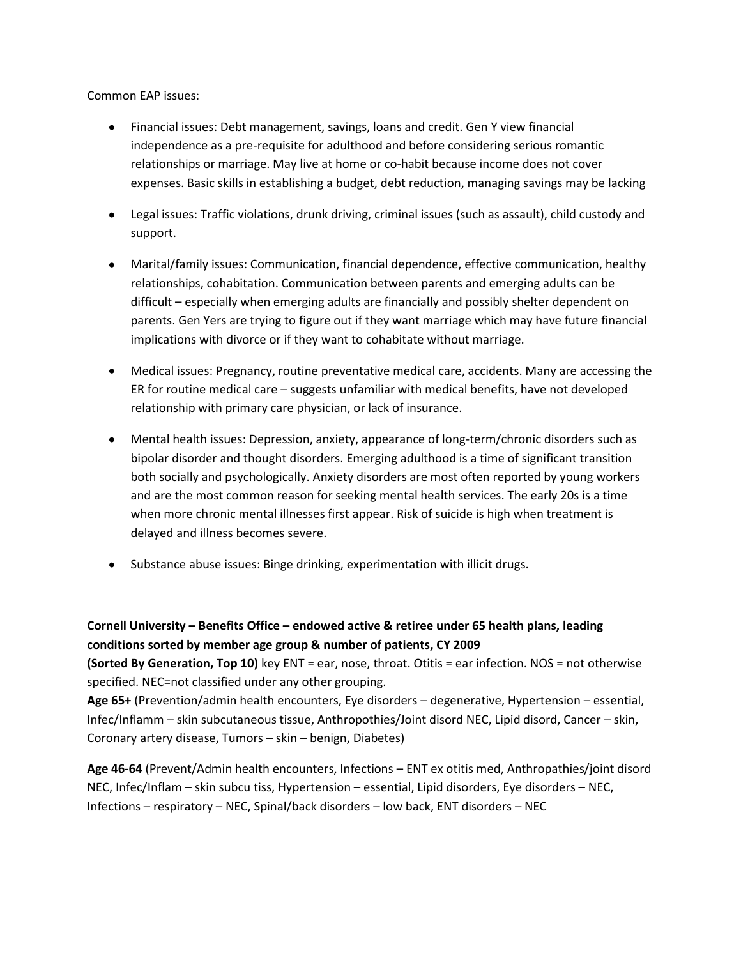Common EAP issues:

- Financial issues: Debt management, savings, loans and credit. Gen Y view financial independence as a pre-requisite for adulthood and before considering serious romantic relationships or marriage. May live at home or co-habit because income does not cover expenses. Basic skills in establishing a budget, debt reduction, managing savings may be lacking
- Legal issues: Traffic violations, drunk driving, criminal issues (such as assault), child custody and support.
- Marital/family issues: Communication, financial dependence, effective communication, healthy relationships, cohabitation. Communication between parents and emerging adults can be difficult – especially when emerging adults are financially and possibly shelter dependent on parents. Gen Yers are trying to figure out if they want marriage which may have future financial implications with divorce or if they want to cohabitate without marriage.
- Medical issues: Pregnancy, routine preventative medical care, accidents. Many are accessing the ER for routine medical care – suggests unfamiliar with medical benefits, have not developed relationship with primary care physician, or lack of insurance.
- Mental health issues: Depression, anxiety, appearance of long-term/chronic disorders such as bipolar disorder and thought disorders. Emerging adulthood is a time of significant transition both socially and psychologically. Anxiety disorders are most often reported by young workers and are the most common reason for seeking mental health services. The early 20s is a time when more chronic mental illnesses first appear. Risk of suicide is high when treatment is delayed and illness becomes severe.
- Substance abuse issues: Binge drinking, experimentation with illicit drugs.

### **Cornell University – Benefits Office – endowed active & retiree under 65 health plans, leading conditions sorted by member age group & number of patients, CY 2009**

**(Sorted By Generation, Top 10)** key ENT = ear, nose, throat. Otitis = ear infection. NOS = not otherwise specified. NEC=not classified under any other grouping.

**Age 65+** (Prevention/admin health encounters, Eye disorders – degenerative, Hypertension – essential, Infec/Inflamm – skin subcutaneous tissue, Anthropothies/Joint disord NEC, Lipid disord, Cancer – skin, Coronary artery disease, Tumors – skin – benign, Diabetes)

**Age 46-64** (Prevent/Admin health encounters, Infections – ENT ex otitis med, Anthropathies/joint disord NEC, Infec/Inflam – skin subcu tiss, Hypertension – essential, Lipid disorders, Eye disorders – NEC, Infections – respiratory – NEC, Spinal/back disorders – low back, ENT disorders – NEC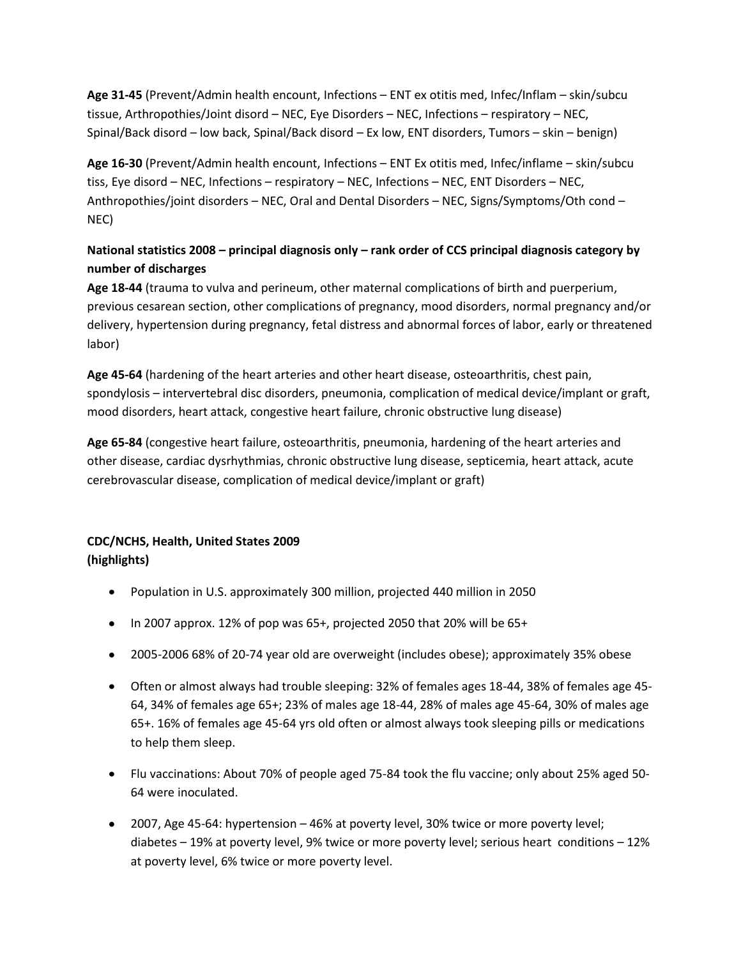**Age 31-45** (Prevent/Admin health encount, Infections – ENT ex otitis med, Infec/Inflam – skin/subcu tissue, Arthropothies/Joint disord – NEC, Eye Disorders – NEC, Infections – respiratory – NEC, Spinal/Back disord – low back, Spinal/Back disord – Ex low, ENT disorders, Tumors – skin – benign)

**Age 16-30** (Prevent/Admin health encount, Infections – ENT Ex otitis med, Infec/inflame – skin/subcu tiss, Eye disord – NEC, Infections – respiratory – NEC, Infections – NEC, ENT Disorders – NEC, Anthropothies/joint disorders – NEC, Oral and Dental Disorders – NEC, Signs/Symptoms/Oth cond – NEC)

## **National statistics 2008 – principal diagnosis only – rank order of CCS principal diagnosis category by number of discharges**

**Age 18-44** (trauma to vulva and perineum, other maternal complications of birth and puerperium, previous cesarean section, other complications of pregnancy, mood disorders, normal pregnancy and/or delivery, hypertension during pregnancy, fetal distress and abnormal forces of labor, early or threatened labor)

**Age 45-64** (hardening of the heart arteries and other heart disease, osteoarthritis, chest pain, spondylosis – intervertebral disc disorders, pneumonia, complication of medical device/implant or graft, mood disorders, heart attack, congestive heart failure, chronic obstructive lung disease)

**Age 65-84** (congestive heart failure, osteoarthritis, pneumonia, hardening of the heart arteries and other disease, cardiac dysrhythmias, chronic obstructive lung disease, septicemia, heart attack, acute cerebrovascular disease, complication of medical device/implant or graft)

## **CDC/NCHS, Health, United States 2009 (highlights)**

- Population in U.S. approximately 300 million, projected 440 million in 2050
- In 2007 approx. 12% of pop was 65+, projected 2050 that 20% will be 65+
- 2005-2006 68% of 20-74 year old are overweight (includes obese); approximately 35% obese
- Often or almost always had trouble sleeping: 32% of females ages 18-44, 38% of females age 45- 64, 34% of females age 65+; 23% of males age 18-44, 28% of males age 45-64, 30% of males age 65+. 16% of females age 45-64 yrs old often or almost always took sleeping pills or medications to help them sleep.
- Flu vaccinations: About 70% of people aged 75-84 took the flu vaccine; only about 25% aged 50- 64 were inoculated.
- 2007, Age 45-64: hypertension 46% at poverty level, 30% twice or more poverty level; diabetes – 19% at poverty level, 9% twice or more poverty level; serious heart conditions – 12% at poverty level, 6% twice or more poverty level.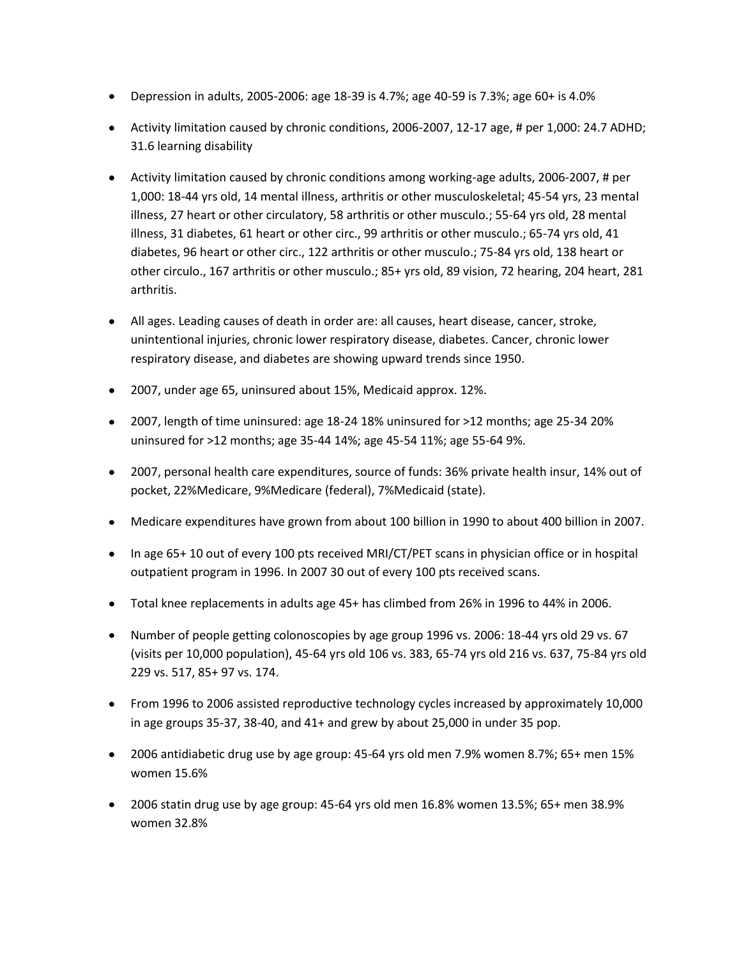- Depression in adults, 2005-2006: age 18-39 is 4.7%; age 40-59 is 7.3%; age 60+ is 4.0%
- Activity limitation caused by chronic conditions, 2006-2007, 12-17 age, # per 1,000: 24.7 ADHD; 31.6 learning disability
- Activity limitation caused by chronic conditions among working-age adults, 2006-2007, # per 1,000: 18-44 yrs old, 14 mental illness, arthritis or other musculoskeletal; 45-54 yrs, 23 mental illness, 27 heart or other circulatory, 58 arthritis or other musculo.; 55-64 yrs old, 28 mental illness, 31 diabetes, 61 heart or other circ., 99 arthritis or other musculo.; 65-74 yrs old, 41 diabetes, 96 heart or other circ., 122 arthritis or other musculo.; 75-84 yrs old, 138 heart or other circulo., 167 arthritis or other musculo.; 85+ yrs old, 89 vision, 72 hearing, 204 heart, 281 arthritis.
- All ages. Leading causes of death in order are: all causes, heart disease, cancer, stroke, unintentional injuries, chronic lower respiratory disease, diabetes. Cancer, chronic lower respiratory disease, and diabetes are showing upward trends since 1950.
- 2007, under age 65, uninsured about 15%, Medicaid approx. 12%.
- 2007, length of time uninsured: age 18-24 18% uninsured for >12 months; age 25-34 20% uninsured for >12 months; age 35-44 14%; age 45-54 11%; age 55-64 9%.
- 2007, personal health care expenditures, source of funds: 36% private health insur, 14% out of pocket, 22%Medicare, 9%Medicare (federal), 7%Medicaid (state).
- Medicare expenditures have grown from about 100 billion in 1990 to about 400 billion in 2007.
- In age 65+10 out of every 100 pts received MRI/CT/PET scans in physician office or in hospital outpatient program in 1996. In 2007 30 out of every 100 pts received scans.
- Total knee replacements in adults age 45+ has climbed from 26% in 1996 to 44% in 2006.
- Number of people getting colonoscopies by age group 1996 vs. 2006: 18-44 yrs old 29 vs. 67 (visits per 10,000 population), 45-64 yrs old 106 vs. 383, 65-74 yrs old 216 vs. 637, 75-84 yrs old 229 vs. 517, 85+ 97 vs. 174.
- From 1996 to 2006 assisted reproductive technology cycles increased by approximately 10,000 in age groups 35-37, 38-40, and 41+ and grew by about 25,000 in under 35 pop.
- 2006 antidiabetic drug use by age group: 45-64 yrs old men 7.9% women 8.7%; 65+ men 15% women 15.6%
- 2006 statin drug use by age group: 45-64 yrs old men 16.8% women 13.5%; 65+ men 38.9% women 32.8%